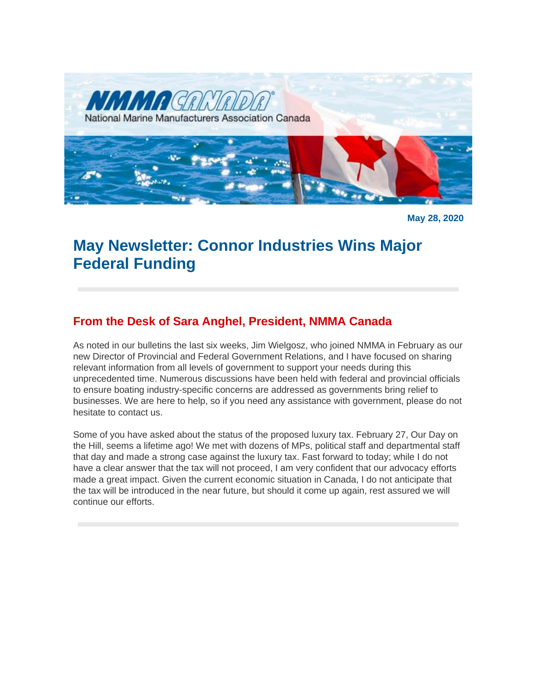**NMMAGE** National Marine Manufacturers Association Canada

**May 28, 2020**

# **May Newsletter: Connor Industries Wins Major Federal Funding**

# **From the Desk of Sara Anghel, President, NMMA Canada**

As noted in our bulletins the last six weeks, Jim Wielgosz, who joined NMMA in February as our new Director of Provincial and Federal Government Relations, and I have focused on sharing relevant information from all levels of government to support your needs during this unprecedented time. Numerous discussions have been held with federal and provincial officials to ensure boating industry-specific concerns are addressed as governments bring relief to businesses. We are here to help, so if you need any assistance with government, please do not hesitate to contact us.

Some of you have asked about the status of the proposed luxury tax. February 27, Our Day on the Hill, seems a lifetime ago! We met with dozens of MPs, political staff and departmental staff that day and made a strong case against the luxury tax. Fast forward to today; while I do not have a clear answer that the tax will not proceed, I am very confident that our advocacy efforts made a great impact. Given the current economic situation in Canada, I do not anticipate that the tax will be introduced in the near future, but should it come up again, rest assured we will continue our efforts.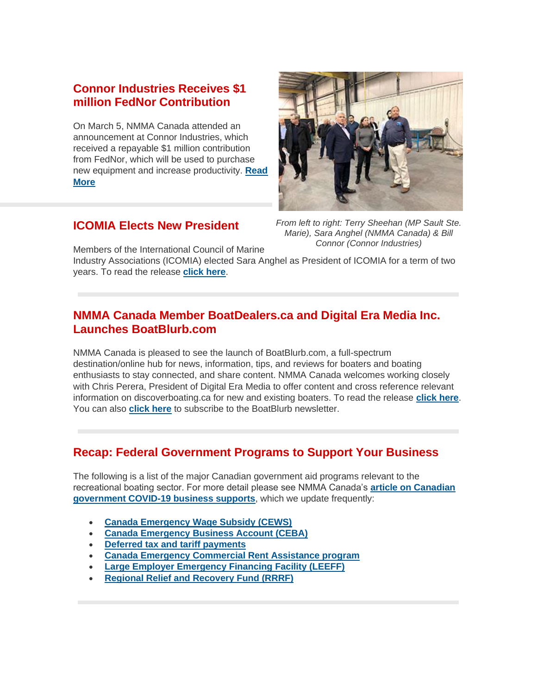## **Connor Industries Receives \$1 million FedNor Contribution**

On March 5, NMMA Canada attended an announcement at Connor Industries, which received a repayable \$1 million contribution from FedNor, which will be used to purchase new equipment and increase productivity. **[Read](http://www.nmma.ca/press/article/23280)  [More](http://www.nmma.ca/press/article/23280)**

### **ICOMIA Elects New President**

Members of the International Council of Marine

Industry Associations (ICOMIA) elected Sara Anghel as President of ICOMIA for a term of two years. To read the release **[click here](https://www.icomia.org/content/sara-anghel-elected-new-icomia-president)**.

## **NMMA Canada Member BoatDealers.ca and Digital Era Media Inc. Launches BoatBlurb.com**

NMMA Canada is pleased to see the launch of BoatBlurb.com, a full-spectrum destination/online hub for news, information, tips, and reviews for boaters and boating enthusiasts to stay connected, and share content. NMMA Canada welcomes working closely with Chris Perera, President of Digital Era Media to offer content and cross reference relevant information on discoverboating.ca for new and existing boaters. To read the release **[click here](https://silkstart.s3.amazonaws.com/5ec11e2b-bd2b-4ac5-9a38-6d494b8efc0d.pdf)**. You can also **[click here](https://www.boatblurb.com/subscription)** to subscribe to the BoatBlurb newsletter.

## **Recap: Federal Government Programs to Support Your Business**

The following is a list of the major Canadian government aid programs relevant to the recreational boating sector. For more detail please see NMMA Canada's **[article on Canadian](http://www.nmma.ca/press/article/23207)  [government COVID-19 business supports](http://www.nmma.ca/press/article/23207)**, which we update frequently:

- **[Canada Emergency Wage Subsidy \(CEWS\)](https://www.canada.ca/en/revenue-agency/services/subsidy/emergency-wage-subsidy.html)**
- **[Canada Emergency Business Account \(CEBA\)](https://cebaquestions.ca/)**
- **[Deferred tax and tariff payments](https://www.canada.ca/en/revenue-agency/campaigns/covid-19-update/frequently-asked-questions-gst-hst.html)**
- **[Canada Emergency Commercial Rent Assistance program](https://www.cmhc-schl.gc.ca/en/finance-and-investing/covid19-cecra-small-business)**
- **[Large Employer Emergency Financing Facility \(LEEFF\)](https://www.cdev.gc.ca/leeff-factsheet/)**
- **[Regional Relief and Recovery Fund \(RRRF\)](https://www.ic.gc.ca/eic/site/icgc.nsf/eng/h_07682.html)**



*From left to right: Terry Sheehan (MP Sault Ste. Marie), Sara Anghel (NMMA Canada) & Bill Connor (Connor Industries)*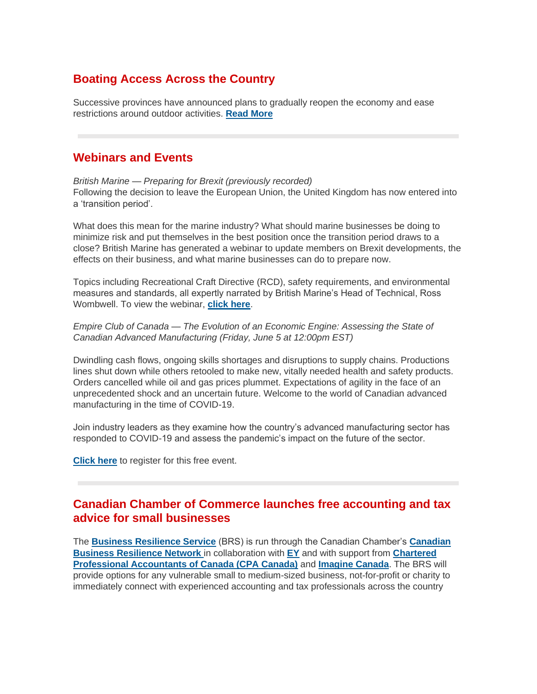## **Boating Access Across the Country**

Successive provinces have announced plans to gradually reopen the economy and ease restrictions around outdoor activities. **[Read More](http://www.nmma.ca/press/article/23279)**

#### **Webinars and Events**

*British Marine — Preparing for Brexit (previously recorded)* Following the decision to leave the European Union, the United Kingdom has now entered into a 'transition period'.

What does this mean for the marine industry? What should marine businesses be doing to minimize risk and put themselves in the best position once the transition period draws to a close? British Marine has generated a webinar to update members on Brexit developments, the effects on their business, and what marine businesses can do to prepare now.

Topics including Recreational Craft Directive (RCD), safety requirements, and environmental measures and standards, all expertly narrated by British Marine's Head of Technical, Ross Wombwell. To view the webinar, **[click here](http://hd.nmma.org/t/149125/7036160/20407/3/)**.

*Empire Club of Canada — The Evolution of an Economic Engine: Assessing the State of Canadian Advanced Manufacturing (Friday, June 5 at 12:00pm EST)*

Dwindling cash flows, ongoing skills shortages and disruptions to supply chains. Productions lines shut down while others retooled to make new, vitally needed health and safety products. Orders cancelled while oil and gas prices plummet. Expectations of agility in the face of an unprecedented shock and an uncertain future. Welcome to the world of Canadian advanced manufacturing in the time of COVID-19.

Join industry leaders as they examine how the country's advanced manufacturing sector has responded to COVID-19 and assess the pandemic's impact on the future of the sector.

**[Click here](https://www.livemeeting.ca/profile/empire-club-of-canada/)** to register for this free event.

#### **Canadian Chamber of Commerce launches free accounting and tax advice for small businesses**

The **[Business Resilience Service](http://cbrn.ca/brs)** (BRS) is run through the Canadian Chamber's **[Canadian](https://www.canadianbusinessresiliencenetwork.ca/)  [Business Resilience Network](https://www.canadianbusinessresiliencenetwork.ca/)** in collaboration with **[EY](http://www.ey.com/ca)** and with support from **[Chartered](https://www.cpacanada.ca/)  [Professional Accountants of Canada \(CPA Canada\)](https://www.cpacanada.ca/)** and **[Imagine Canada](https://www.imaginecanada.ca/en)**. The BRS will provide options for any vulnerable small to medium-sized business, not-for-profit or charity to immediately connect with experienced accounting and tax professionals across the country